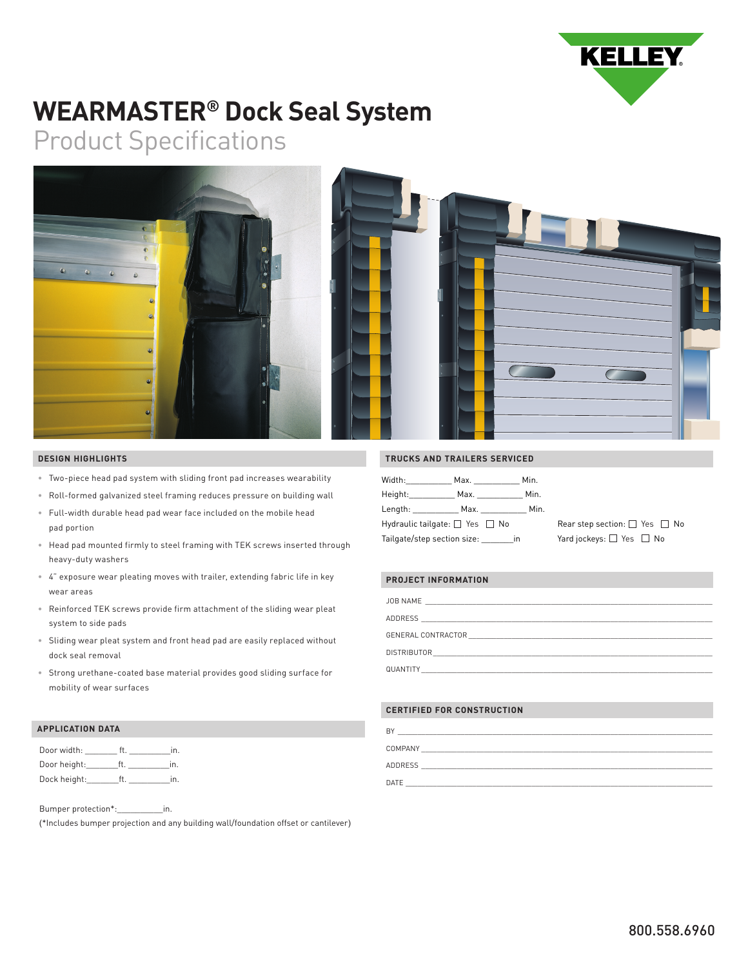

# **WEARMASTER® Dock Seal System**

## Product Specifications



#### **DESIGN HIGHLIGHTS**

- Two-piece head pad system with sliding front pad increases wearability
- Roll-formed galvanized steel framing reduces pressure on building wall
- Full-width durable head pad wear face included on the mobile head pad portion
- Head pad mounted firmly to steel framing with TEK screws inserted through heavy-duty washers
- 4" exposure wear pleating moves with trailer, extending fabric life in key wear areas
- Reinforced TEK screws provide firm attachment of the sliding wear pleat system to side pads
- Sliding wear pleat system and front head pad are easily replaced without dock seal removal
- Strong urethane-coated base material provides good sliding surface for mobility of wear surfaces

#### **APPLICATION DATA**

| Door width:  | ın             |
|--------------|----------------|
| Door height: | $\overline{m}$ |
| Dock height: | ın             |

Bumper protection\*:\_\_\_\_\_\_\_\_\_\_in.

(\*Includes bumper projection and any building wall/foundation offset or cantilever)

#### **TRUCKS AND TRAILERS SERVICED**

| Width:                                   | Max. _______ | Min. |
|------------------------------------------|--------------|------|
| Height: <b>New York Street</b>           | Max.         | Min. |
| Length: <b>compared to the compare</b>   | Max.         | Min. |
| Hydraulic tailgate: $\Box$ Yes $\Box$ No |              |      |
| Tailgate/step section size:              |              | in   |

Rear step section:  $\square$  Yes  $\square$  No Yard jockeys:  $\Box$  Yes  $\Box$  No

### **PROJECT INFORMATION**

| JOB NAME                                                  |
|-----------------------------------------------------------|
| <b>ADDRESS</b>                                            |
|                                                           |
|                                                           |
| DISTRIBUTOR                                               |
| <u> 1989 - Jan Barbara, manazarta mashrida (h. 1989).</u> |
| QUANTITY                                                  |

#### **CERTIFIED FOR CONSTRUCTION**

| B)      |
|---------|
| COMPANY |
| ADDRESS |
| DATE    |